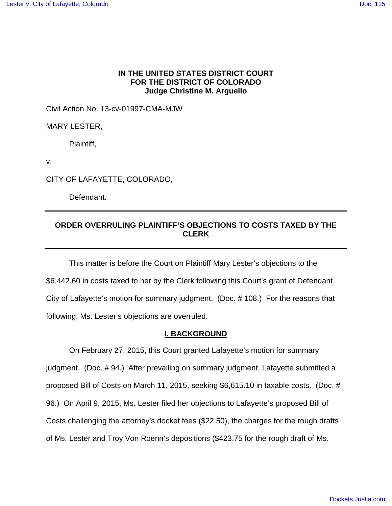## **IN THE UNITED STATES DISTRICT COURT FOR THE DISTRICT OF COLORADO Judge Christine M. Arguello**

Civil Action No. 13-cv-01997-CMA-MJW

MARY LESTER,

Plaintiff,

v.

CITY OF LAFAYETTE, COLORADO,

Defendant.

# **ORDER OVERRULING PLAINTIFF'S OBJECTIONS TO COSTS TAXED BY THE CLERK**

This matter is before the Court on Plaintiff Mary Lester's objections to the \$6,442.60 in costs taxed to her by the Clerk following this Court's grant of Defendant City of Lafayette's motion for summary judgment. (Doc. # 108.) For the reasons that following, Ms. Lester's objections are overruled.

## **I. BACKGROUND**

On February 27, 2015, this Court granted Lafayette's motion for summary judgment. (Doc. # 94.) After prevailing on summary judgment, Lafayette submitted a proposed Bill of Costs on March 11, 2015, seeking \$6,615.10 in taxable costs. (Doc. # 96.) On April 9, 2015, Ms. Lester filed her objections to Lafayette's proposed Bill of Costs challenging the attorney's docket fees (\$22.50), the charges for the rough drafts of Ms. Lester and Troy Von Roenn's depositions (\$423.75 for the rough draft of Ms.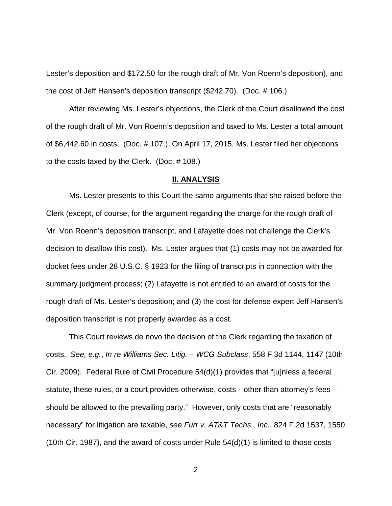Lester's deposition and \$172.50 for the rough draft of Mr. Von Roenn's deposition), and the cost of Jeff Hansen's deposition transcript (\$242.70). (Doc. # 106.)

After reviewing Ms. Lester's objections, the Clerk of the Court disallowed the cost of the rough draft of Mr. Von Roenn's deposition and taxed to Ms. Lester a total amount of \$6,442.60 in costs. (Doc. # 107.) On April 17, 2015, Ms. Lester filed her objections to the costs taxed by the Clerk. (Doc. # 108.)

### **II. ANALYSIS**

Ms. Lester presents to this Court the same arguments that she raised before the Clerk (except, of course, for the argument regarding the charge for the rough draft of Mr. Von Roenn's deposition transcript, and Lafayette does not challenge the Clerk's decision to disallow this cost). Ms. Lester argues that (1) costs may not be awarded for docket fees under 28 U.S.C. § 1923 for the filing of transcripts in connection with the summary judgment process; (2) Lafayette is not entitled to an award of costs for the rough draft of Ms. Lester's deposition; and (3) the cost for defense expert Jeff Hansen's deposition transcript is not properly awarded as a cost.

This Court reviews de novo the decision of the Clerk regarding the taxation of costs. See, e.g., In re Williams Sec. Litig. – WCG Subclass, 558 F.3d 1144, 1147 (10th Cir. 2009). Federal Rule of Civil Procedure 54(d)(1) provides that "[u]nless a federal statute, these rules, or a court provides otherwise, costs—other than attorney's fees should be allowed to the prevailing party." However, only costs that are "reasonably necessary" for litigation are taxable, see Furr v. AT&T Techs., Inc., 824 F.2d 1537, 1550 (10th Cir. 1987), and the award of costs under Rule  $54(d)(1)$  is limited to those costs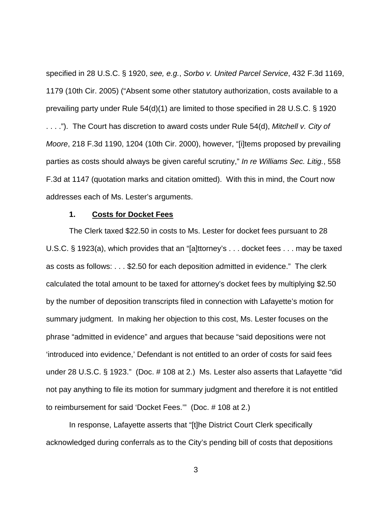specified in 28 U.S.C. § 1920, see, e.g., Sorbo v. United Parcel Service, 432 F.3d 1169, 1179 (10th Cir. 2005) ("Absent some other statutory authorization, costs available to a prevailing party under Rule 54(d)(1) are limited to those specified in 28 U.S.C. § 1920 ...."). The Court has discretion to award costs under Rule 54(d), Mitchell v. City of Moore, 218 F.3d 1190, 1204 (10th Cir. 2000), however, "[i]tems proposed by prevailing parties as costs should always be given careful scrutiny," In re Williams Sec. Litig., 558 F.3d at 1147 (quotation marks and citation omitted). With this in mind, the Court now addresses each of Ms. Lester's arguments.

#### **1. Costs for Docket Fees**

The Clerk taxed \$22.50 in costs to Ms. Lester for docket fees pursuant to 28 U.S.C. § 1923(a), which provides that an "[a]ttorney's . . . docket fees . . . may be taxed as costs as follows: . . . \$2.50 for each deposition admitted in evidence." The clerk calculated the total amount to be taxed for attorney's docket fees by multiplying \$2.50 by the number of deposition transcripts filed in connection with Lafayette's motion for summary judgment. In making her objection to this cost, Ms. Lester focuses on the phrase "admitted in evidence" and argues that because "said depositions were not 'introduced into evidence,' Defendant is not entitled to an order of costs for said fees under 28 U.S.C. § 1923." (Doc. # 108 at 2.) Ms. Lester also asserts that Lafayette "did not pay anything to file its motion for summary judgment and therefore it is not entitled to reimbursement for said 'Docket Fees.'" (Doc. # 108 at 2.)

In response, Lafayette asserts that "[t]he District Court Clerk specifically acknowledged during conferrals as to the City's pending bill of costs that depositions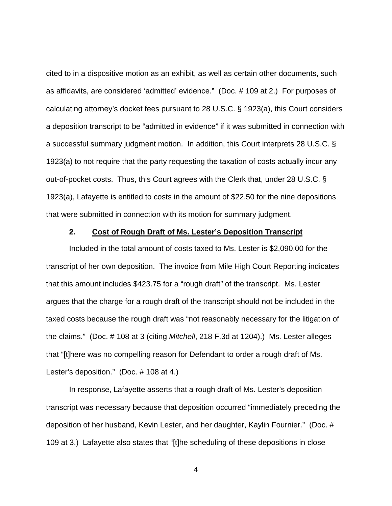cited to in a dispositive motion as an exhibit, as well as certain other documents, such as affidavits, are considered 'admitted' evidence." (Doc. # 109 at 2.) For purposes of calculating attorney's docket fees pursuant to 28 U.S.C. § 1923(a), this Court considers a deposition transcript to be "admitted in evidence" if it was submitted in connection with a successful summary judgment motion. In addition, this Court interprets 28 U.S.C. § 1923(a) to not require that the party requesting the taxation of costs actually incur any out-of-pocket costs. Thus, this Court agrees with the Clerk that, under 28 U.S.C. § 1923(a), Lafayette is entitled to costs in the amount of \$22.50 for the nine depositions that were submitted in connection with its motion for summary judgment.

## **2. Cost of Rough Draft of Ms. Lester's Deposition Transcript**

Included in the total amount of costs taxed to Ms. Lester is \$2,090.00 for the transcript of her own deposition. The invoice from Mile High Court Reporting indicates that this amount includes \$423.75 for a "rough draft" of the transcript. Ms. Lester argues that the charge for a rough draft of the transcript should not be included in the taxed costs because the rough draft was "not reasonably necessary for the litigation of the claims." (Doc. # 108 at 3 (citing Mitchell, 218 F.3d at 1204).) Ms. Lester alleges that "[t]here was no compelling reason for Defendant to order a rough draft of Ms. Lester's deposition." (Doc. # 108 at 4.)

In response, Lafayette asserts that a rough draft of Ms. Lester's deposition transcript was necessary because that deposition occurred "immediately preceding the deposition of her husband, Kevin Lester, and her daughter, Kaylin Fournier." (Doc. # 109 at 3.) Lafayette also states that "[t]he scheduling of these depositions in close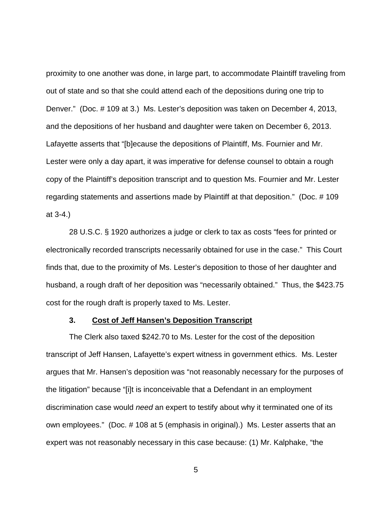proximity to one another was done, in large part, to accommodate Plaintiff traveling from out of state and so that she could attend each of the depositions during one trip to Denver." (Doc. # 109 at 3.) Ms. Lester's deposition was taken on December 4, 2013, and the depositions of her husband and daughter were taken on December 6, 2013. Lafayette asserts that "[b]ecause the depositions of Plaintiff, Ms. Fournier and Mr. Lester were only a day apart, it was imperative for defense counsel to obtain a rough copy of the Plaintiff's deposition transcript and to question Ms. Fournier and Mr. Lester regarding statements and assertions made by Plaintiff at that deposition." (Doc. # 109 at 3-4.)

28 U.S.C. § 1920 authorizes a judge or clerk to tax as costs "fees for printed or electronically recorded transcripts necessarily obtained for use in the case." This Court finds that, due to the proximity of Ms. Lester's deposition to those of her daughter and husband, a rough draft of her deposition was "necessarily obtained." Thus, the \$423.75 cost for the rough draft is properly taxed to Ms. Lester.

#### **3. Cost of Jeff Hansen's Deposition Transcript**

The Clerk also taxed \$242.70 to Ms. Lester for the cost of the deposition transcript of Jeff Hansen, Lafayette's expert witness in government ethics. Ms. Lester argues that Mr. Hansen's deposition was "not reasonably necessary for the purposes of the litigation" because "[i]t is inconceivable that a Defendant in an employment discrimination case would need an expert to testify about why it terminated one of its own employees." (Doc. # 108 at 5 (emphasis in original).) Ms. Lester asserts that an expert was not reasonably necessary in this case because: (1) Mr. Kalphake, "the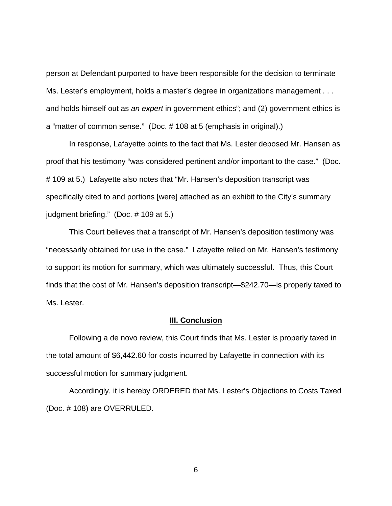person at Defendant purported to have been responsible for the decision to terminate Ms. Lester's employment, holds a master's degree in organizations management . . . and holds himself out as an expert in government ethics"; and (2) government ethics is a "matter of common sense." (Doc. # 108 at 5 (emphasis in original).)

In response, Lafayette points to the fact that Ms. Lester deposed Mr. Hansen as proof that his testimony "was considered pertinent and/or important to the case." (Doc. # 109 at 5.) Lafayette also notes that "Mr. Hansen's deposition transcript was specifically cited to and portions [were] attached as an exhibit to the City's summary judgment briefing." (Doc. # 109 at 5.)

This Court believes that a transcript of Mr. Hansen's deposition testimony was "necessarily obtained for use in the case." Lafayette relied on Mr. Hansen's testimony to support its motion for summary, which was ultimately successful. Thus, this Court finds that the cost of Mr. Hansen's deposition transcript—\$242.70—is properly taxed to Ms. Lester.

#### **III. Conclusion**

Following a de novo review, this Court finds that Ms. Lester is properly taxed in the total amount of \$6,442.60 for costs incurred by Lafayette in connection with its successful motion for summary judgment.

Accordingly, it is hereby ORDERED that Ms. Lester's Objections to Costs Taxed (Doc. # 108) are OVERRULED.